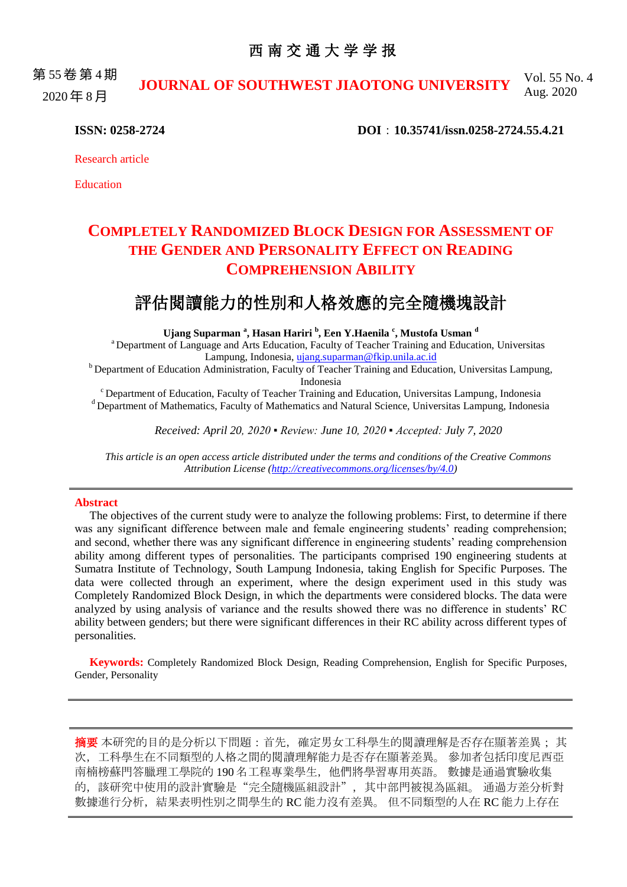### 西 南 交 通 大 学 学 报

第 55 卷 第 4 期 2020 年 8 月 **JOURNAL OF SOUTHWEST JIAOTONG UNIVERSITY** Vol. 55 No. 4 Aug. 2020

**ISSN: 0258-2724 DOI**:**10.35741/issn.0258-2724.55.4.21**

Research article

Education

# **COMPLETELY RANDOMIZED BLOCK DESIGN FOR ASSESSMENT OF THE GENDER AND PERSONALITY EFFECT ON READING COMPREHENSION ABILITY**

## 評估閱讀能力的性別和人格效應的完全隨機塊設計

**Ujang Suparman <sup>a</sup> , Hasan Hariri <sup>b</sup> , Een Y.Haenila <sup>c</sup> , Mustofa Usman <sup>d</sup>**

<sup>a</sup> Department of Language and Arts Education, Faculty of Teacher Training and Education, Universitas Lampung, Indonesia, [ujang.suparman@fkip.unila.ac.id](mailto:ujang.suparman@fkip.unila.ac.id)

<sup>b</sup> Department of Education Administration, Faculty of Teacher Training and Education, Universitas Lampung, Indonesia

<sup>c</sup> Department of Education, Faculty of Teacher Training and Education, Universitas Lampung, Indonesia <sup>d</sup> Department of Mathematics, Faculty of Mathematics and Natural Science, Universitas Lampung, Indonesia

*Received: April 20, 2020 ▪ Review: June 10, 2020 ▪ Accepted: July 7, 2020*

*This article is an open access article distributed under the terms and conditions of the Creative Commons Attribution License [\(http://creativecommons.org/licenses/by/4.0\)](http://creativecommons.org/licenses/by/4.0)*

#### **Abstract**

The objectives of the current study were to analyze the following problems: First, to determine if there was any significant difference between male and female engineering students' reading comprehension; and second, whether there was any significant difference in engineering students' reading comprehension ability among different types of personalities. The participants comprised 190 engineering students at Sumatra Institute of Technology, South Lampung Indonesia, taking English for Specific Purposes. The data were collected through an experiment, where the design experiment used in this study was Completely Randomized Block Design, in which the departments were considered blocks. The data were analyzed by using analysis of variance and the results showed there was no difference in students' RC ability between genders; but there were significant differences in their RC ability across different types of personalities.

**Keywords:** Completely Randomized Block Design, Reading Comprehension, English for Specific Purposes, Gender, Personality

摘要 本研究的目的是分析以下問題:首先,確定男女工科學生的閱讀理解是否存在顯著差異; 其 次,工科學生在不同類型的人格之間的閱讀理解能力是否存在顯著差異。 參加者包括印度尼西亞 南楠榜蘇門答臘理工學院的 190 名工程專業學生,他們將學習專用英語。 數據是通過實驗收集 的, 該研究中使用的設計實驗是"完全隨機區組設計", 其中部門被視為區組。 通過方差分析對 數據進行分析,結果表明性別之間學生的 RC 能力沒有差異。 但不同類型的人在 RC 能力上存在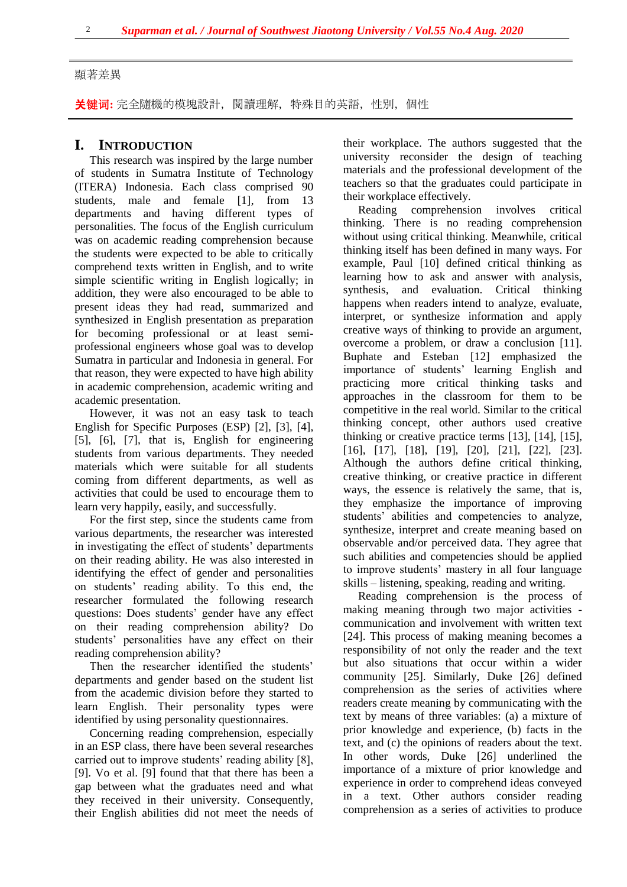#### 顯著差異

关键词**:** 完全隨機的模塊設計,閱讀理解,特殊目的英語,性別,個性

#### **I. INTRODUCTION**

This research was inspired by the large number of students in Sumatra Institute of Technology (ITERA) Indonesia. Each class comprised 90 students, male and female [1], from 13 departments and having different types of personalities. The focus of the English curriculum was on academic reading comprehension because the students were expected to be able to critically comprehend texts written in English, and to write simple scientific writing in English logically; in addition, they were also encouraged to be able to present ideas they had read, summarized and synthesized in English presentation as preparation for becoming professional or at least semiprofessional engineers whose goal was to develop Sumatra in particular and Indonesia in general. For that reason, they were expected to have high ability in academic comprehension, academic writing and academic presentation.

However, it was not an easy task to teach English for Specific Purposes (ESP) [2], [3], [4], [5], [6], [7], that is, English for engineering students from various departments. They needed materials which were suitable for all students coming from different departments, as well as activities that could be used to encourage them to learn very happily, easily, and successfully.

For the first step, since the students came from various departments, the researcher was interested in investigating the effect of students' departments on their reading ability. He was also interested in identifying the effect of gender and personalities on students' reading ability. To this end, the researcher formulated the following research questions: Does students' gender have any effect on their reading comprehension ability? Do students' personalities have any effect on their reading comprehension ability?

Then the researcher identified the students' departments and gender based on the student list from the academic division before they started to learn English. Their personality types were identified by using personality questionnaires.

Concerning reading comprehension, especially in an ESP class, there have been several researches carried out to improve students' reading ability [8], [9]. Vo et al. [9] found that that there has been a gap between what the graduates need and what they received in their university. Consequently, their English abilities did not meet the needs of their workplace. The authors suggested that the university reconsider the design of teaching materials and the professional development of the teachers so that the graduates could participate in their workplace effectively.

Reading comprehension involves critical thinking. There is no reading comprehension without using critical thinking. Meanwhile, critical thinking itself has been defined in many ways. For example, Paul [10] defined critical thinking as learning how to ask and answer with analysis, synthesis, and evaluation. Critical thinking happens when readers intend to analyze, evaluate, interpret, or synthesize information and apply creative ways of thinking to provide an argument, overcome a problem, or draw a conclusion [11]. Buphate and Esteban [12] emphasized the importance of students' learning English and practicing more critical thinking tasks and approaches in the classroom for them to be competitive in the real world. Similar to the critical thinking concept, other authors used creative thinking or creative practice terms [13], [14], [15], [16], [17], [18], [19], [20], [21], [22], [23]. Although the authors define critical thinking, creative thinking, or creative practice in different ways, the essence is relatively the same, that is, they emphasize the importance of improving students' abilities and competencies to analyze, synthesize, interpret and create meaning based on observable and/or perceived data. They agree that such abilities and competencies should be applied to improve students' mastery in all four language skills – listening, speaking, reading and writing.

Reading comprehension is the process of making meaning through two major activities communication and involvement with written text [24]. This process of making meaning becomes a responsibility of not only the reader and the text but also situations that occur within a wider community [25]. Similarly, Duke [26] defined comprehension as the series of activities where readers create meaning by communicating with the text by means of three variables: (a) a mixture of prior knowledge and experience, (b) facts in the text, and (c) the opinions of readers about the text. In other words, Duke [26] underlined the importance of a mixture of prior knowledge and experience in order to comprehend ideas conveyed in a text. Other authors consider reading comprehension as a series of activities to produce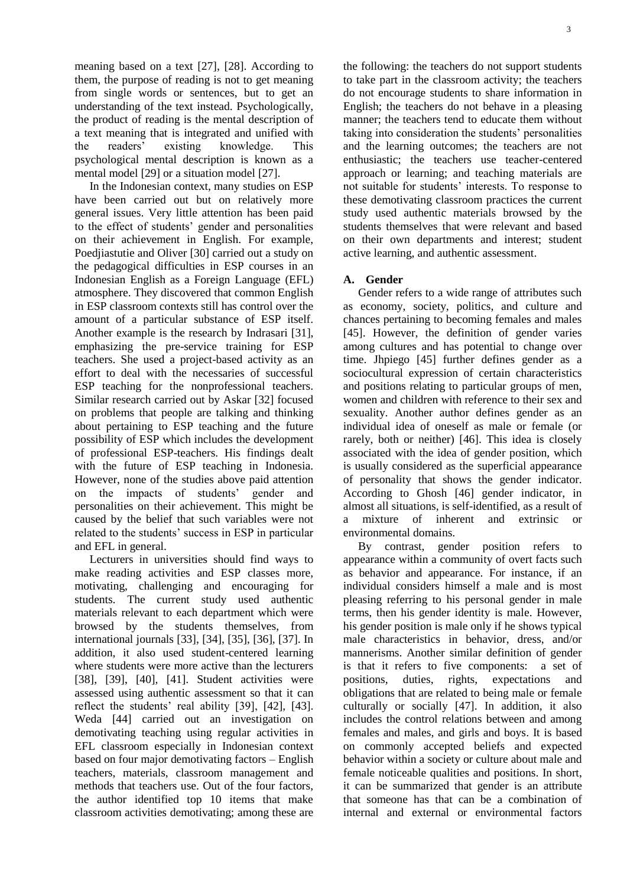meaning based on a text [27], [28]. According to them, the purpose of reading is not to get meaning from single words or sentences, but to get an understanding of the text instead. Psychologically, the product of reading is the mental description of a text meaning that is integrated and unified with the readers' existing knowledge. This psychological mental description is known as a mental model [29] or a situation model [27].

In the Indonesian context, many studies on ESP have been carried out but on relatively more general issues. Very little attention has been paid to the effect of students' gender and personalities on their achievement in English. For example, Poedjiastutie and Oliver [30] carried out a study on the pedagogical difficulties in ESP courses in an Indonesian English as a Foreign Language (EFL) atmosphere. They discovered that common English in ESP classroom contexts still has control over the amount of a particular substance of ESP itself. Another example is the research by Indrasari [31], emphasizing the pre-service training for ESP teachers. She used a project-based activity as an effort to deal with the necessaries of successful ESP teaching for the nonprofessional teachers. Similar research carried out by Askar [32] focused on problems that people are talking and thinking about pertaining to ESP teaching and the future possibility of ESP which includes the development of professional ESP-teachers. His findings dealt with the future of ESP teaching in Indonesia. However, none of the studies above paid attention on the impacts of students' gender and personalities on their achievement. This might be caused by the belief that such variables were not related to the students' success in ESP in particular and EFL in general.

Lecturers in universities should find ways to make reading activities and ESP classes more, motivating, challenging and encouraging for students. The current study used authentic materials relevant to each department which were browsed by the students themselves, from international journals [33], [34], [35], [36], [37]. In addition, it also used student-centered learning where students were more active than the lecturers [38], [39], [40], [41]. Student activities were assessed using authentic assessment so that it can reflect the students' real ability [39], [42], [43]. Weda [44] carried out an investigation on demotivating teaching using regular activities in EFL classroom especially in Indonesian context based on four major demotivating factors – English teachers, materials, classroom management and methods that teachers use. Out of the four factors, the author identified top 10 items that make classroom activities demotivating; among these are

the following: the teachers do not support students to take part in the classroom activity; the teachers do not encourage students to share information in English; the teachers do not behave in a pleasing manner; the teachers tend to educate them without taking into consideration the students' personalities and the learning outcomes; the teachers are not enthusiastic; the teachers use teacher-centered approach or learning; and teaching materials are not suitable for students' interests. To response to these demotivating classroom practices the current study used authentic materials browsed by the students themselves that were relevant and based on their own departments and interest; student active learning, and authentic assessment.

#### **A. Gender**

Gender refers to a wide range of attributes such as economy, society, politics, and culture and chances pertaining to becoming females and males [45]. However, the definition of gender varies among cultures and has potential to change over time. Jhpiego [45] further defines gender as a sociocultural expression of certain characteristics and positions relating to particular groups of men, women and children with reference to their sex and sexuality. Another author defines gender as an individual idea of oneself as male or female (or rarely, both or neither) [46]. This idea is closely associated with the idea of gender position, which is usually considered as the superficial appearance of personality that shows the gender indicator. According to Ghosh [46] gender indicator, in almost all situations, is self-identified, as a result of a mixture of inherent and extrinsic or environmental domains.

By contrast, gender position refers to appearance within a community of overt facts such as behavior and appearance. For instance, if an individual considers himself a male and is most pleasing referring to his personal gender in male terms, then his gender identity is male. However, his gender position is male only if he shows typical male characteristics in behavior, dress, and/or mannerisms. Another similar definition of gender is that it refers to five components: a set of positions, duties, rights, expectations and obligations that are related to being male or female culturally or socially [47]. In addition, it also includes the control relations between and among females and males, and girls and boys. It is based on commonly accepted beliefs and expected behavior within a society or culture about male and female noticeable qualities and positions. In short, it can be summarized that gender is an attribute that someone has that can be a combination of internal and external or environmental factors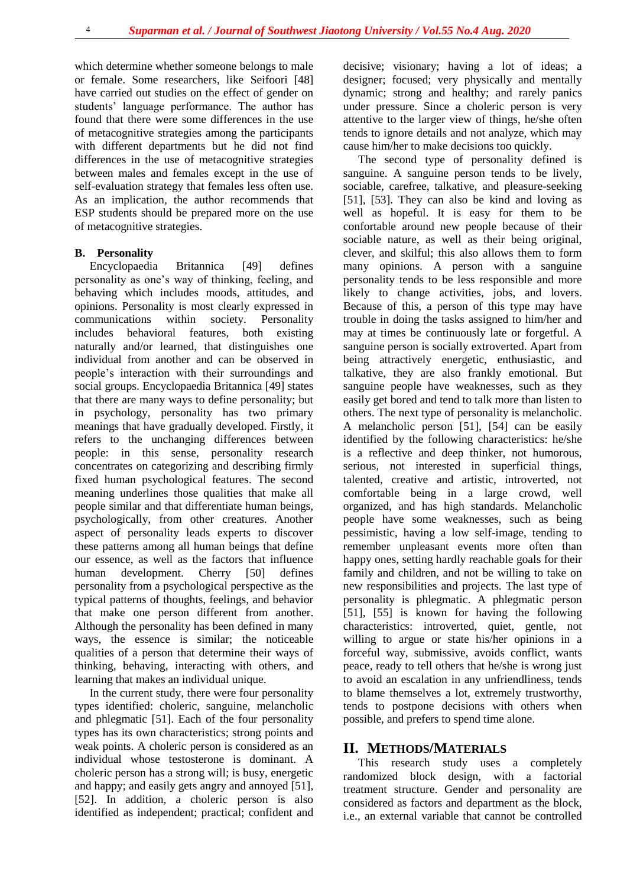which determine whether someone belongs to male or female. Some researchers, like Seifoori [48] have carried out studies on the effect of gender on students' language performance. The author has found that there were some differences in the use of metacognitive strategies among the participants with different departments but he did not find differences in the use of metacognitive strategies between males and females except in the use of self-evaluation strategy that females less often use. As an implication, the author recommends that ESP students should be prepared more on the use of metacognitive strategies.

#### **B. Personality**

Encyclopaedia Britannica [49] defines personality as one's way of thinking, feeling, and behaving which includes moods, attitudes, and opinions. Personality is most clearly expressed in communications within society. Personality includes behavioral features, both existing naturally and/or learned, that distinguishes one individual from another and can be observed in people's interaction with their surroundings and social groups. Encyclopaedia Britannica [49] states that there are many ways to define personality; but in psychology, personality has two primary meanings that have gradually developed. Firstly, it refers to the unchanging differences between people: in this sense, personality research concentrates on categorizing and describing firmly fixed human psychological features. The second meaning underlines those qualities that make all people similar and that differentiate human beings, psychologically, from other creatures. Another aspect of personality leads experts to discover these patterns among all human beings that define our essence, as well as the factors that influence human development. Cherry [50] defines personality from a psychological perspective as the typical patterns of thoughts, feelings, and behavior that make one person different from another. Although the personality has been defined in many ways, the essence is similar; the noticeable qualities of a person that determine their ways of thinking, behaving, interacting with others, and learning that makes an individual unique.

In the current study, there were four personality types identified: choleric, sanguine, melancholic and phlegmatic [51]. Each of the four personality types has its own characteristics; strong points and weak points. A choleric person is considered as an individual whose testosterone is dominant. A choleric person has a strong will; is busy, energetic and happy; and easily gets angry and annoyed [51], [52]. In addition, a choleric person is also identified as independent; practical; confident and decisive; visionary; having a lot of ideas; a designer; focused; very physically and mentally dynamic; strong and healthy; and rarely panics under pressure. Since a choleric person is very attentive to the larger view of things, he/she often tends to ignore details and not analyze, which may cause him/her to make decisions too quickly.

The second type of personality defined is sanguine. A sanguine person tends to be lively, sociable, carefree, talkative, and pleasure-seeking [51], [53]. They can also be kind and loving as well as hopeful. It is easy for them to be confortable around new people because of their sociable nature, as well as their being original, clever, and skilful; this also allows them to form many opinions. A person with a sanguine personality tends to be less responsible and more likely to change activities, jobs, and lovers. Because of this, a person of this type may have trouble in doing the tasks assigned to him/her and may at times be continuously late or forgetful. A sanguine person is socially extroverted. Apart from being attractively energetic, enthusiastic, and talkative, they are also frankly emotional. But sanguine people have weaknesses, such as they easily get bored and tend to talk more than listen to others. The next type of personality is melancholic. A melancholic person [51], [54] can be easily identified by the following characteristics: he/she is a reflective and deep thinker, not humorous, serious, not interested in superficial things, talented, creative and artistic, introverted, not comfortable being in a large crowd, well organized, and has high standards. Melancholic people have some weaknesses, such as being pessimistic, having a low self-image, tending to remember unpleasant events more often than happy ones, setting hardly reachable goals for their family and children, and not be willing to take on new responsibilities and projects. The last type of personality is phlegmatic. A phlegmatic person [51], [55] is known for having the following characteristics: introverted, quiet, gentle, not willing to argue or state his/her opinions in a forceful way, submissive, avoids conflict, wants peace, ready to tell others that he/she is wrong just to avoid an escalation in any unfriendliness, tends to blame themselves a lot, extremely trustworthy, tends to postpone decisions with others when possible, and prefers to spend time alone.

### **II. METHODS/MATERIALS**

This research study uses a completely randomized block design, with a factorial treatment structure. Gender and personality are considered as factors and department as the block, i.e., an external variable that cannot be controlled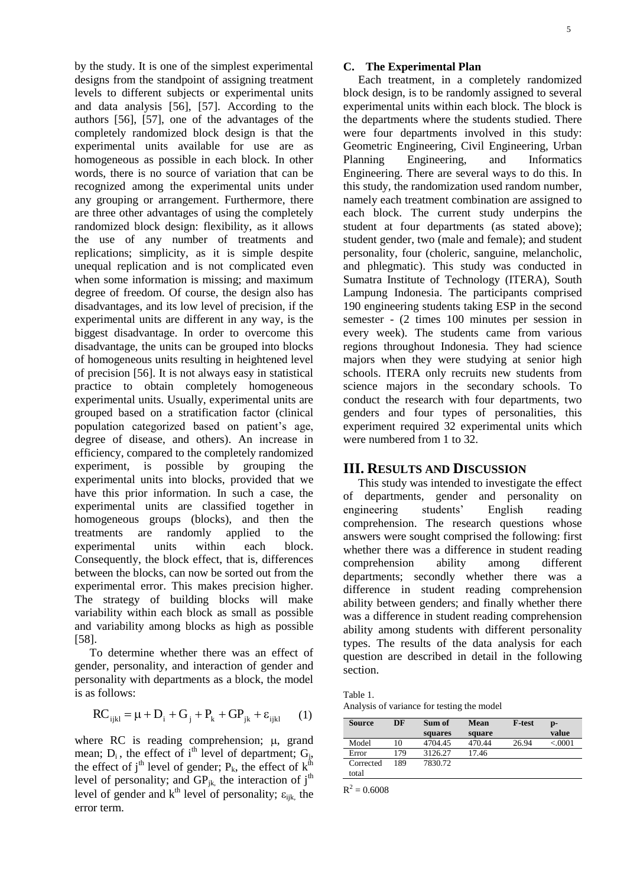by the study. It is one of the simplest experimental designs from the standpoint of assigning treatment levels to different subjects or experimental units and data analysis [56], [57]. According to the authors [56], [57], one of the advantages of the completely randomized block design is that the experimental units available for use are as homogeneous as possible in each block. In other words, there is no source of variation that can be recognized among the experimental units under any grouping or arrangement. Furthermore, there are three other advantages of using the completely randomized block design: flexibility, as it allows the use of any number of treatments and replications; simplicity, as it is simple despite unequal replication and is not complicated even when some information is missing; and maximum degree of freedom. Of course, the design also has disadvantages, and its low level of precision, if the experimental units are different in any way, is the biggest disadvantage. In order to overcome this disadvantage, the units can be grouped into blocks of homogeneous units resulting in heightened level of precision [56]. It is not always easy in statistical practice to obtain completely homogeneous experimental units. Usually, experimental units are grouped based on a stratification factor (clinical population categorized based on patient's age, degree of disease, and others). An increase in efficiency, compared to the completely randomized experiment, is possible by grouping the experimental units into blocks, provided that we have this prior information. In such a case, the experimental units are classified together in homogeneous groups (blocks), and then the treatments are randomly applied to the experimental units within each block. Consequently, the block effect, that is, differences between the blocks, can now be sorted out from the experimental error. This makes precision higher. The strategy of building blocks will make variability within each block as small as possible and variability among blocks as high as possible [58].

To determine whether there was an effect of gender, personality, and interaction of gender and personality with departments as a block, the model is as follows:

$$
RC_{ijkl} = \mu + D_i + G_j + P_k + GP_{jk} + \varepsilon_{ijkl} \qquad (1)
$$

where RC is reading comprehension;  $\mu$ , grand mean;  $D_i$ , the effect of i<sup>th</sup> level of department;  $G_j$ , the effect of j<sup>th</sup> level of gender;  $P_k$ , the effect of  $k^{th}$ level of personality; and  $GP_{jk}$ , the interaction of  $j<sup>th</sup>$ level of gender and  $k^{th}$  level of personality;  $\varepsilon_{ijk}$ , the error term.

#### **C. The Experimental Plan**

Each treatment, in a completely randomized block design, is to be randomly assigned to several experimental units within each block. The block is the departments where the students studied. There were four departments involved in this study: Geometric Engineering, Civil Engineering, Urban Planning Engineering, and Informatics Engineering. There are several ways to do this. In this study, the randomization used random number, namely each treatment combination are assigned to each block. The current study underpins the student at four departments (as stated above); student gender, two (male and female); and student personality, four (choleric, sanguine, melancholic, and phlegmatic). This study was conducted in Sumatra Institute of Technology (ITERA), South Lampung Indonesia. The participants comprised 190 engineering students taking ESP in the second semester - (2 times 100 minutes per session in every week). The students came from various regions throughout Indonesia. They had science majors when they were studying at senior high schools. ITERA only recruits new students from science majors in the secondary schools. To conduct the research with four departments, two genders and four types of personalities, this experiment required 32 experimental units which were numbered from 1 to 32.

#### **III. RESULTS AND DISCUSSION**

This study was intended to investigate the effect of departments, gender and personality on engineering students' English reading comprehension. The research questions whose answers were sought comprised the following: first whether there was a difference in student reading comprehension ability among different departments; secondly whether there was a difference in student reading comprehension ability between genders; and finally whether there was a difference in student reading comprehension ability among students with different personality types. The results of the data analysis for each question are described in detail in the following section.

| Table 1.                                   |
|--------------------------------------------|
| Analysis of variance for testing the model |

| Source    | DF  | Sum of  | Mean   | <b>F-test</b> | D-       |
|-----------|-----|---------|--------|---------------|----------|
|           |     | squares | square |               | value    |
| Model     | 10  | 4704.45 | 470.44 | 26.94         | < 0.0001 |
| Error     | 179 | 3126.27 | 17.46  |               |          |
| Corrected | 189 | 7830.72 |        |               |          |
| total     |     |         |        |               |          |

 $R^2 = 0.6008$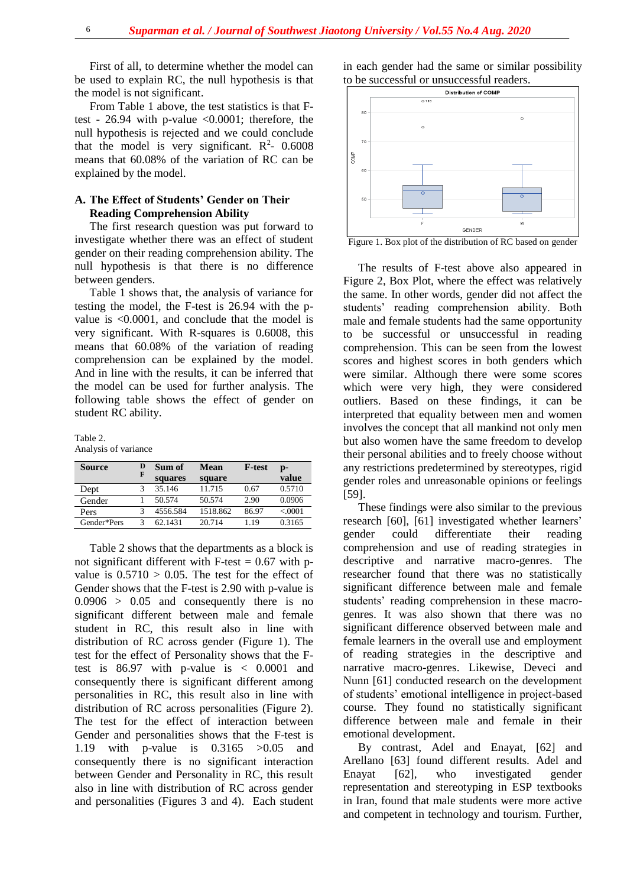First of all, to determine whether the model can be used to explain RC, the null hypothesis is that the model is not significant.

From Table 1 above, the test statistics is that Ftest - 26.94 with p-value <0.0001; therefore, the null hypothesis is rejected and we could conclude that the model is very significant.  $R^2$ - 0.6008 means that 60.08% of the variation of RC can be explained by the model.

#### **A. The Effect of Students' Gender on Their Reading Comprehension Ability**

The first research question was put forward to investigate whether there was an effect of student gender on their reading comprehension ability. The null hypothesis is that there is no difference between genders.

Table 1 shows that, the analysis of variance for testing the model, the F-test is 26.94 with the pvalue is <0.0001, and conclude that the model is very significant. With R-squares is 0.6008, this means that 60.08% of the variation of reading comprehension can be explained by the model. And in line with the results, it can be inferred that the model can be used for further analysis. The following table shows the effect of gender on student RC ability.

Table 2.

Analysis of variance

| <b>Source</b> | F | Sum of<br>squares | Mean<br>square | <b>F-test</b> | $\mathbf{D}$<br>value |
|---------------|---|-------------------|----------------|---------------|-----------------------|
| Dept          |   | 35.146            | 11.715         | 0.67          | 0.5710                |
| Gender        |   | 50.574            | 50.574         | 2.90          | 0.0906                |
| Pers          |   | 4556.584          | 1518.862       | 86.97         | < 0001                |
| Gender*Pers   |   | 62.1431           | 20.714         | 1.19          | 0.3165                |

Table 2 shows that the departments as a block is not significant different with F-test  $= 0.67$  with pvalue is  $0.5710 > 0.05$ . The test for the effect of Gender shows that the F-test is 2.90 with p-value is  $0.0906 > 0.05$  and consequently there is no significant different between male and female student in RC, this result also in line with distribution of RC across gender (Figure 1). The test for the effect of Personality shows that the Ftest is 86.97 with p-value is < 0.0001 and consequently there is significant different among personalities in RC, this result also in line with distribution of RC across personalities (Figure 2). The test for the effect of interaction between Gender and personalities shows that the F-test is 1.19 with p-value is 0.3165 >0.05 and consequently there is no significant interaction between Gender and Personality in RC, this result also in line with distribution of RC across gender and personalities (Figures 3 and 4). Each student in each gender had the same or similar possibility to be successful or unsuccessful readers.



Figure 1. Box plot of the distribution of RC based on gender

The results of F-test above also appeared in Figure 2, Box Plot, where the effect was relatively the same. In other words, gender did not affect the students' reading comprehension ability. Both male and female students had the same opportunity to be successful or unsuccessful in reading comprehension. This can be seen from the lowest scores and highest scores in both genders which were similar. Although there were some scores which were very high, they were considered outliers. Based on these findings, it can be interpreted that equality between men and women involves the concept that all mankind not only men but also women have the same freedom to develop their personal abilities and to freely choose without any restrictions predetermined by stereotypes, rigid gender roles and unreasonable opinions or feelings [59].

These findings were also similar to the previous research [60], [61] investigated whether learners' gender could differentiate their reading comprehension and use of reading strategies in descriptive and narrative macro-genres. The researcher found that there was no statistically significant difference between male and female students' reading comprehension in these macrogenres. It was also shown that there was no significant difference observed between male and female learners in the overall use and employment of reading strategies in the descriptive and narrative macro-genres. Likewise, Deveci and Nunn [61] conducted research on the development of students' emotional intelligence in project-based course. They found no statistically significant difference between male and female in their emotional development.

By contrast, Adel and Enayat, [62] and Arellano [63] found different results. Adel and Enayat [62], who investigated gender representation and stereotyping in ESP textbooks in Iran, found that male students were more active and competent in technology and tourism. Further,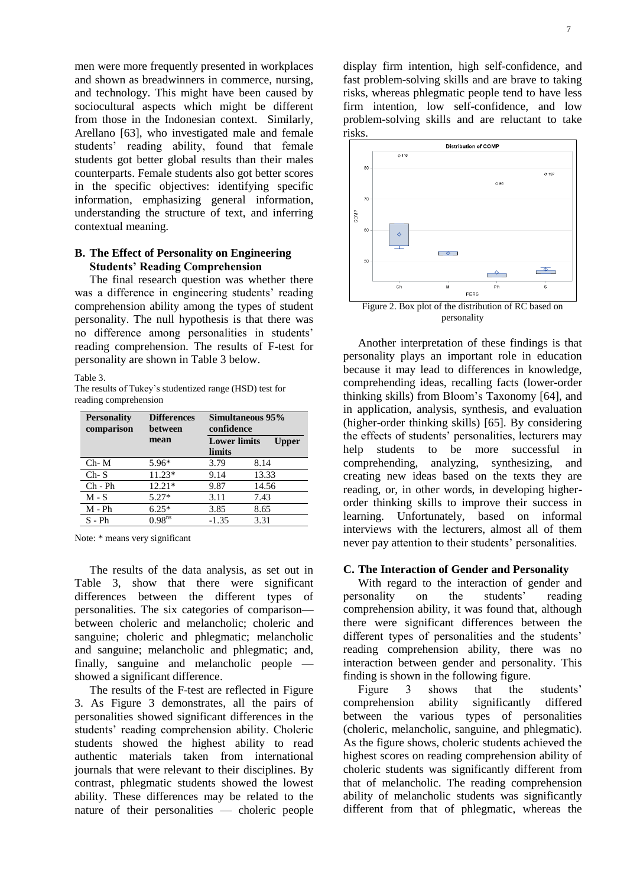men were more frequently presented in workplaces and shown as breadwinners in commerce, nursing, and technology. This might have been caused by sociocultural aspects which might be different from those in the Indonesian context. Similarly, Arellano [63], who investigated male and female students' reading ability, found that female students got better global results than their males counterparts. Female students also got better scores in the specific objectives: identifying specific information, emphasizing general information, understanding the structure of text, and inferring contextual meaning.

#### **B. The Effect of Personality on Engineering Students' Reading Comprehension**

The final research question was whether there was a difference in engineering students' reading comprehension ability among the types of student personality. The null hypothesis is that there was no difference among personalities in students' reading comprehension. The results of F-test for personality are shown in Table 3 below.

Table 3.

The results of Tukey's studentized range (HSD) test for reading comprehension

| <b>Personality</b><br>comparison | <b>Differences</b><br>between | Simultaneous 95%<br>confidence |       |  |
|----------------------------------|-------------------------------|--------------------------------|-------|--|
|                                  | mean                          | <b>Lower limits</b><br>Upper   |       |  |
|                                  |                               | limits                         |       |  |
| $Ch-M$                           | $5.96*$                       | 3.79                           | 8.14  |  |
| $Ch-S$                           | $11.23*$                      | 9.14                           | 13.33 |  |
| $Ch$ - $Ph$                      | $12.21*$                      | 9.87                           | 14.56 |  |
| $M-S$                            | $5.27*$                       | 3.11                           | 7.43  |  |
| $M - Ph$                         | $6.25*$                       | 3.85                           | 8.65  |  |
| $S - Ph$                         | 0.98 <sup>ns</sup>            | $-1.35$                        | 3.31  |  |

Note: \* means very significant

The results of the data analysis, as set out in Table 3, show that there were significant differences between the different types of personalities. The six categories of comparison between choleric and melancholic; choleric and sanguine; choleric and phlegmatic; melancholic and sanguine; melancholic and phlegmatic; and, finally, sanguine and melancholic people showed a significant difference.

The results of the F-test are reflected in Figure 3. As Figure 3 demonstrates, all the pairs of personalities showed significant differences in the students' reading comprehension ability. Choleric students showed the highest ability to read authentic materials taken from international journals that were relevant to their disciplines. By contrast, phlegmatic students showed the lowest ability. These differences may be related to the nature of their personalities — choleric people display firm intention, high self-confidence, and fast problem-solving skills and are brave to taking risks, whereas phlegmatic people tend to have less firm intention, low self-confidence, and low problem-solving skills and are reluctant to take risks.



Figure 2. Box plot of the distribution of RC based on personality

Another interpretation of these findings is that personality plays an important role in education because it may lead to differences in knowledge, comprehending ideas, recalling facts (lower-order thinking skills) from Bloom's Taxonomy [64], and in application, analysis, synthesis, and evaluation (higher-order thinking skills) [65]. By considering the effects of students' personalities, lecturers may help students to be more successful in comprehending, analyzing, synthesizing, and creating new ideas based on the texts they are reading, or, in other words, in developing higherorder thinking skills to improve their success in learning. Unfortunately, based on informal interviews with the lecturers, almost all of them never pay attention to their students' personalities.

#### **C. The Interaction of Gender and Personality**

With regard to the interaction of gender and personality on the students' reading comprehension ability, it was found that, although there were significant differences between the different types of personalities and the students' reading comprehension ability, there was no interaction between gender and personality. This finding is shown in the following figure.

Figure 3 shows that the students' comprehension ability significantly differed between the various types of personalities (choleric, melancholic, sanguine, and phlegmatic). As the figure shows, choleric students achieved the highest scores on reading comprehension ability of choleric students was significantly different from that of melancholic. The reading comprehension ability of melancholic students was significantly different from that of phlegmatic, whereas the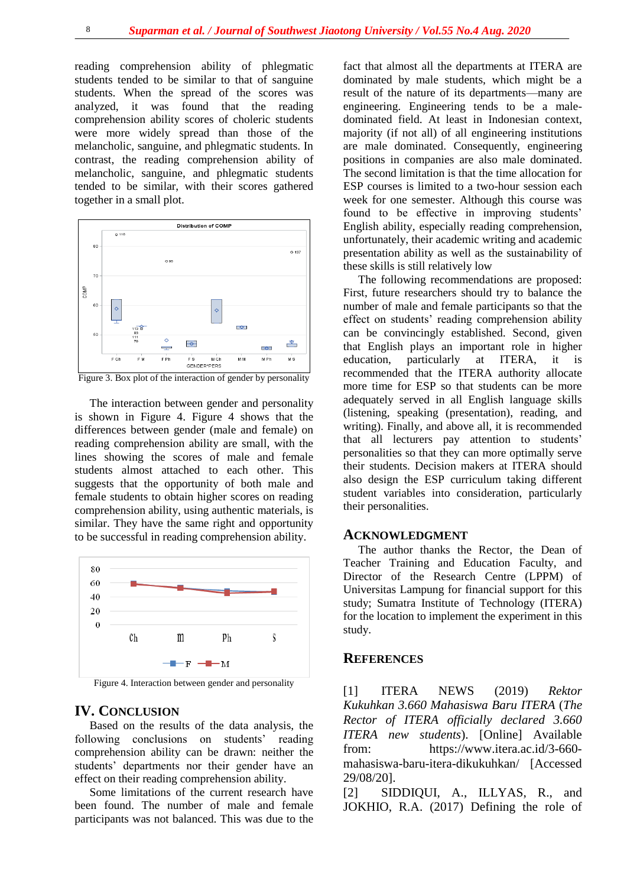reading comprehension ability of phlegmatic students tended to be similar to that of sanguine students. When the spread of the scores was analyzed, it was found that the reading comprehension ability scores of choleric students were more widely spread than those of the melancholic, sanguine, and phlegmatic students. In contrast, the reading comprehension ability of melancholic, sanguine, and phlegmatic students tended to be similar, with their scores gathered together in a small plot.



Figure 3. Box plot of the interaction of gender by personality

The interaction between gender and personality is shown in Figure 4. Figure 4 shows that the differences between gender (male and female) on reading comprehension ability are small, with the lines showing the scores of male and female students almost attached to each other. This suggests that the opportunity of both male and female students to obtain higher scores on reading comprehension ability, using authentic materials, is similar. They have the same right and opportunity to be successful in reading comprehension ability.



Figure 4. Interaction between gender and personality

#### **IV. CONCLUSION**

Based on the results of the data analysis, the following conclusions on students' reading comprehension ability can be drawn: neither the students' departments nor their gender have an effect on their reading comprehension ability.

Some limitations of the current research have been found. The number of male and female participants was not balanced. This was due to the

fact that almost all the departments at ITERA are dominated by male students, which might be a result of the nature of its departments—many are engineering. Engineering tends to be a maledominated field. At least in Indonesian context, majority (if not all) of all engineering institutions are male dominated. Consequently, engineering positions in companies are also male dominated. The second limitation is that the time allocation for ESP courses is limited to a two-hour session each week for one semester. Although this course was found to be effective in improving students' English ability, especially reading comprehension, unfortunately, their academic writing and academic presentation ability as well as the sustainability of these skills is still relatively low

The following recommendations are proposed: First, future researchers should try to balance the number of male and female participants so that the effect on students' reading comprehension ability can be convincingly established. Second, given that English plays an important role in higher education, particularly at ITERA, it is recommended that the ITERA authority allocate more time for ESP so that students can be more adequately served in all English language skills (listening, speaking (presentation), reading, and writing). Finally, and above all, it is recommended that all lecturers pay attention to students' personalities so that they can more optimally serve their students. Decision makers at ITERA should also design the ESP curriculum taking different student variables into consideration, particularly their personalities.

#### **ACKNOWLEDGMENT**

The author thanks the Rector, the Dean of Teacher Training and Education Faculty, and Director of the Research Centre (LPPM) of Universitas Lampung for financial support for this study; Sumatra Institute of Technology (ITERA) for the location to implement the experiment in this study.

#### **REFERENCES**

[1] ITERA NEWS (2019) *Rektor Kukuhkan 3.660 Mahasiswa Baru ITERA* (*The Rector of ITERA officially declared 3.660 ITERA new students*). [Online] Available from: [https://www.itera.ac.id/3-660](https://www.itera.ac.id/3-660-mahasiswa-baru-itera-dikukuhkan/) [mahasiswa-baru-itera-dikukuhkan/](https://www.itera.ac.id/3-660-mahasiswa-baru-itera-dikukuhkan/) [Accessed 29/08/20].

[2] SIDDIQUI, A., ILLYAS, R., and JOKHIO, R.A. (2017) Defining the role of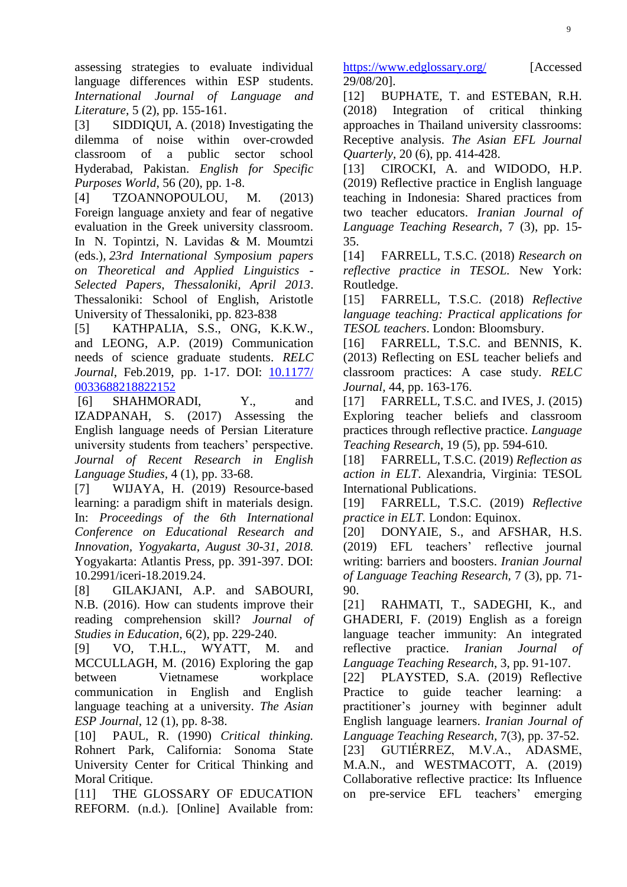assessing strategies to evaluate individual language differences within ESP students. *International Journal of Language and Literature,* 5 (2), pp. 155-161.

[3] SIDDIQUI, A. (2018) Investigating the dilemma of noise within over-crowded classroom of a public sector school Hyderabad, Pakistan. *English for Specific Purposes World*, 56 (20), pp. 1-8.

[4] TZOANNOPOULOU, M. (2013) Foreign language anxiety and fear of negative evaluation in the Greek university classroom. In N. Topintzi, N. Lavidas & M. Moumtzi (eds.), *23rd International Symposium papers on Theoretical and Applied Linguistics - Selected Papers*, *Thessaloniki, April 2013*. Thessaloniki: School of English, Aristotle University of Thessaloniki, pp. 823-838

[5] KATHPALIA, S.S., ONG, K.K.W., and LEONG, A.P. (2019) Communication needs of science graduate students. *RELC Journal*, Feb.2019, pp. 1-17. DOI: [10.1177/](https://doi.org/10.1177/%200033688218822152)  [0033688218822152](https://doi.org/10.1177/%200033688218822152)

[6] SHAHMORADI, Y., and IZADPANAH, S. (2017) Assessing the English language needs of Persian Literature university students from teachers' perspective. *Journal of Recent Research in English Language Studies,* 4 (1), pp. 33-68.

[7] WIJAYA, H. (2019) Resource-based learning: a paradigm shift in materials design. In: *Proceedings of the 6th International Conference on Educational Research and Innovation, Yogyakarta, August 30-31, 2018.*  Yogyakarta: Atlantis Press, pp. 391-397. DOI: 10.2991/iceri-18.2019.24.

[8] GILAKJANI, A.P. and SABOURI, N.B. (2016). How can students improve their reading comprehension skill? *Journal of Studies in Education,* 6(2), pp. 229-240.

[9] VO, T.H.L., WYATT, M. and MCCULLAGH, M. (2016) Exploring the gap between Vietnamese workplace communication in English and English language teaching at a university. *The Asian ESP Journal*, 12 (1), pp. 8-38.

[10] PAUL, R. (1990) *Critical thinking.* Rohnert Park, California: Sonoma State University Center for Critical Thinking and Moral Critique.

[11] THE GLOSSARY OF EDUCATION REFORM. (n.d.). [Online] Available from:

<https://www.edglossary.org/> [Accessed 29/08/20].

[12] BUPHATE, T. and ESTEBAN, R.H. (2018) Integration of critical thinking approaches in Thailand university classrooms: Receptive analysis. *The Asian EFL Journal Quarterly,* 20 (6), pp. 414-428.

[13] CIROCKI, A. and WIDODO, H.P. (2019) Reflective practice in English language teaching in Indonesia: Shared practices from two teacher educators. *Iranian Journal of Language Teaching Research,* 7 (3), pp. 15- 35.

[14] FARRELL, T.S.C. (2018) *Research on reflective practice in TESOL.* New York: Routledge.

[15] FARRELL, T.S.C. (2018) *Reflective language teaching: Practical applications for TESOL teachers*. London: Bloomsbury.

[16] FARRELL, T.S.C. and BENNIS, K. (2013) Reflecting on ESL teacher beliefs and classroom practices: A case study. *RELC Journal,* 44, pp. 163-176.

[17] FARRELL, T.S.C. and IVES, J. (2015) Exploring teacher beliefs and classroom practices through reflective practice. *Language Teaching Research*, 19 (5), pp. 594-610.

[18] FARRELL, T.S.C. (2019) *Reflection as action in ELT*. Alexandria, Virginia: TESOL International Publications.

[19] FARRELL, T.S.C. (2019) *Reflective practice in ELT.* London: Equinox.

[20] DONYAIE, S., and AFSHAR, H.S. (2019) EFL teachers' reflective journal writing: barriers and boosters. *Iranian Journal of Language Teaching Research,* 7 (3), pp. 71- 90.

[21] RAHMATI, T., SADEGHI, K., and GHADERI, F. (2019) English as a foreign language teacher immunity: An integrated reflective practice. *Iranian Journal of Language Teaching Research*, 3, pp. 91-107.

[22] PLAYSTED, S.A. (2019) Reflective Practice to guide teacher learning: a practitioner's journey with beginner adult English language learners. *Iranian Journal of Language Teaching Research,* 7(3), pp. 37-52. [23] GUTIÉRREZ, M.V.A., ADASME, M.A.N., and WESTMACOTT, A. (2019) Collaborative reflective practice: Its Influence on pre-service EFL teachers' emerging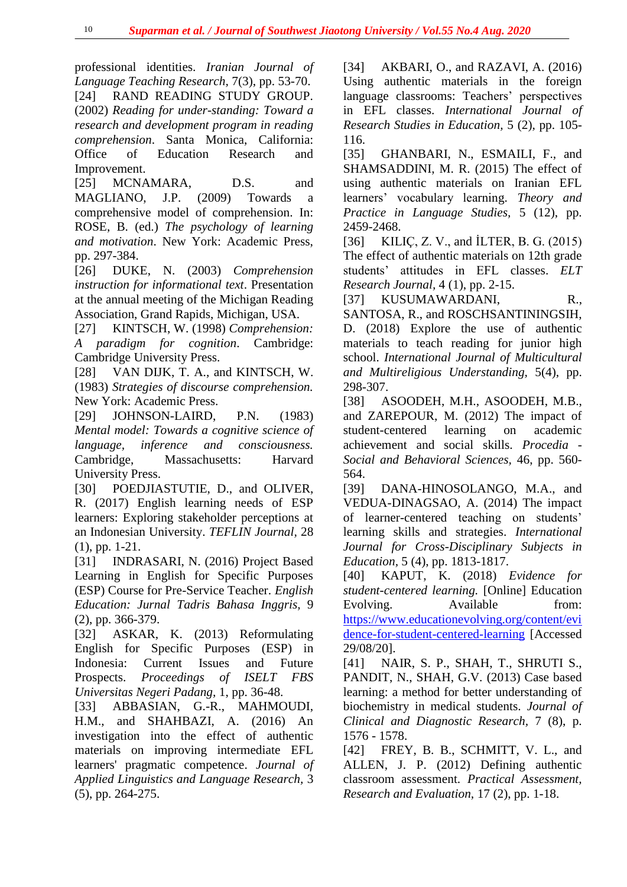professional identities. *Iranian Journal of Language Teaching Research,* 7(3), pp. 53-70. [24] RAND READING STUDY GROUP. (2002) *Reading for under-standing: Toward a research and development program in reading comprehension*. Santa Monica, California: Office of Education Research and Improvement.

[25] MCNAMARA, D.S. and MAGLIANO, J.P. (2009) Towards a comprehensive model of comprehension. In: ROSE, B. (ed.) *The psychology of learning and motivation*. New York: Academic Press, pp. 297-384.

[26] DUKE, N. (2003) *Comprehension instruction for informational text*. Presentation at the annual meeting of the Michigan Reading Association, Grand Rapids, Michigan, USA.

[27] KINTSCH, W. (1998) *Comprehension: A paradigm for cognition*. Cambridge: Cambridge University Press.

[28] VAN DIJK, T. A., and KINTSCH, W. (1983) *Strategies of discourse comprehension.*  New York: Academic Press.

[29] JOHNSON-LAIRD, P.N. (1983) *Mental model: Towards a cognitive science of language, inference and consciousness.*  Cambridge, Massachusetts: Harvard University Press.

[30] POEDJIASTUTIE, D., and OLIVER, R. (2017) English learning needs of ESP learners: Exploring stakeholder perceptions at an Indonesian University. *TEFLIN Journal,* 28 (1), pp. 1-21.

[31] INDRASARI, N. (2016) Project Based Learning in English for Specific Purposes (ESP) Course for Pre-Service Teacher. *English Education: Jurnal Tadris Bahasa Inggris,* 9 (2), pp. 366-379.

[32] ASKAR, K. (2013) Reformulating English for Specific Purposes (ESP) in Indonesia: Current Issues and Future Prospects. *Proceedings of ISELT FBS Universitas Negeri Padang,* 1, pp. 36-48.

[33] ABBASIAN, G.-R., MAHMOUDI, H.M., and SHAHBAZI, A. (2016) An investigation into the effect of authentic materials on improving intermediate EFL learners' pragmatic competence. *Journal of Applied Linguistics and Language Research,* 3 (5), pp. 264-275.

[34] AKBARI, O., and RAZAVI, A. (2016) Using authentic materials in the foreign language classrooms: Teachers' perspectives in EFL classes. *International Journal of Research Studies in Education,* 5 (2), pp. 105- 116.

[35] GHANBARI, N., ESMAILI, F., and SHAMSADDINI, M. R. (2015) The effect of using authentic materials on Iranian EFL learners' vocabulary learning. *Theory and Practice in Language Studies,* 5 (12), pp. 2459-2468.

[36] KILIÇ, Z. V., and İLTER, B. G. (2015) The effect of authentic materials on 12th grade students' attitudes in EFL classes. *ELT Research Journal,* 4 (1), pp. 2-15.

[37] KUSUMAWARDANI, R., SANTOSA, R., and ROSCHSANTININGSIH, D. (2018) Explore the use of authentic materials to teach reading for junior high school. *International Journal of Multicultural and Multireligious Understanding,* 5(4), pp. 298-307.

[38] ASOODEH, M.H., ASOODEH, M.B., and ZAREPOUR, M. (2012) The impact of student-centered learning on academic achievement and social skills. *Procedia - Social and Behavioral Sciences,* 46, pp. 560- 564.

[39] DANA-HINOSOLANGO, M.A., and VEDUA-DINAGSAO, A. (2014) The impact of learner-centered teaching on students' learning skills and strategies. *International Journal for Cross-Disciplinary Subjects in Education,* 5 (4), pp. 1813-1817.

[40] KAPUT, K. (2018) *Evidence for student-centered learning.* [Online] Education Evolving. Available from: [https://www.educationevolving.org/content/evi](https://www.educationevolving.org/content/evidence-for-student-centered-learning) [dence-for-student-centered-learning](https://www.educationevolving.org/content/evidence-for-student-centered-learning) [Accessed 29/08/20].

[41] NAIR, S. P., SHAH, T., SHRUTI S., PANDIT, N., SHAH, G.V. (2013) Case based learning: a method for better understanding of biochemistry in medical students. *Journal of Clinical and Diagnostic Research,* 7 (8), p. 1576 - 1578.

[42] FREY, B. B., SCHMITT, V. L., and ALLEN, J. P. (2012) Defining authentic classroom assessment. *Practical Assessment, Research and Evaluation,* 17 (2), pp. 1-18.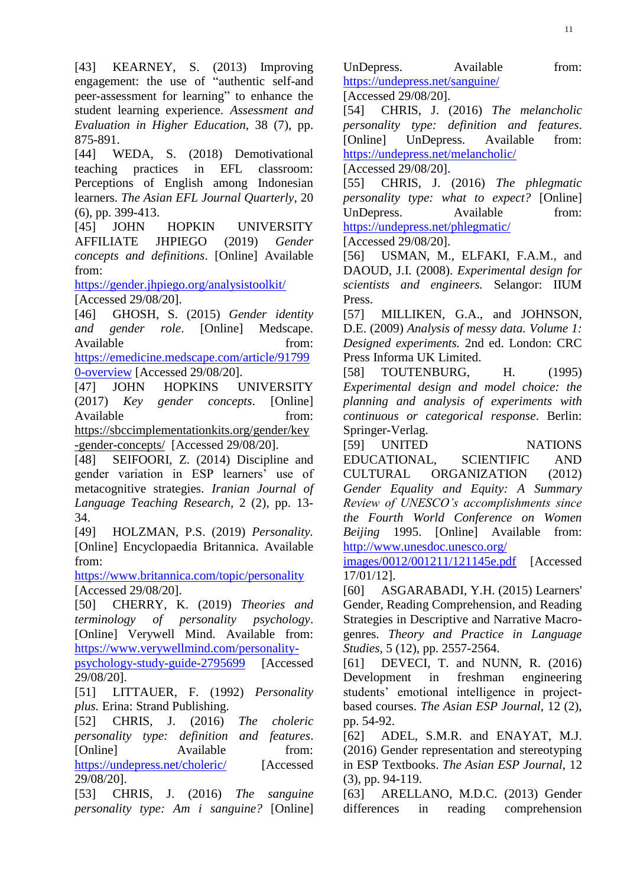[43] KEARNEY, S. (2013) Improving engagement: the use of "authentic self-and" peer-assessment for learning" to enhance the student learning experience. *Assessment and Evaluation in Higher Education,* 38 (7), pp. 875-891.

[44] WEDA, S. (2018) Demotivational teaching practices in EFL classroom: Perceptions of English among Indonesian learners. *The Asian EFL Journal Quarterly,* 20 (6), pp. 399-413.

[45] JOHN HOPKIN UNIVERSITY AFFILIATE JHPIEGO (2019) *Gender concepts and definitions*. [Online] Available from:

<https://gender.jhpiego.org/analysistoolkit/> [Accessed 29/08/20].

[46] GHOSH, S. (2015) *Gender identity and gender role*. [Online] Medscape. Available from: [https://emedicine.medscape.com/article/91799](https://emedicine.medscape.com/article/917990-overview) [0-overview](https://emedicine.medscape.com/article/917990-overview) [Accessed 29/08/20].

[47] JOHN HOPKINS UNIVERSITY (2017) *Key gender concepts*. [Online] Available from: [https://sbccimplementationkits.org/gender/key](https://sbccimplementationkits.org/gender/key-gender-concepts/)

[-gender-concepts/](https://sbccimplementationkits.org/gender/key-gender-concepts/) [Accessed 29/08/20].

[48] SEIFOORI, Z. (2014) Discipline and gender variation in ESP learners' use of metacognitive strategies. *Iranian Journal of Language Teaching Research,* 2 (2), pp. 13- 34.

[49] HOLZMAN, P.S. (2019) *Personality.* [Online] Encyclopaedia Britannica. Available from:

<https://www.britannica.com/topic/personality> [Accessed 29/08/20].

[50] CHERRY, K. (2019) *Theories and terminology of personality psychology*. [Online] Verywell Mind. Available from: [https://www.verywellmind.com/personality-](https://www.verywellmind.com/personality-psychology-study-guide-2795699)

[psychology-study-guide-2795699](https://www.verywellmind.com/personality-psychology-study-guide-2795699) [Accessed 29/08/20].

[51] LITTAUER, F. (1992) *Personality plus.* Erina: [Strand Publishing.](https://www.bookdepository.com/publishers/Strand-Publishing)

[52] [CHRIS,](http://www.josephchris.com/author/seo) J. (2016) *The choleric personality type: definition and features*. [Online] Available from: <https://undepress.net/choleric/> [Accessed 29/08/20].

[53] [CHRIS,](http://www.josephchris.com/author/seo) J. (2016) *The sanguine personality type: Am i sanguine?* [Online]

UnDepress. Available from: <https://undepress.net/sanguine/>

[Accessed 29/08/20].

[54] [CHRIS,](http://www.josephchris.com/author/seo) J. (2016) *The melancholic personality type: definition and features*. [Online] UnDepress. Available from: <https://undepress.net/melancholic/>

[Accessed 29/08/20].

[55] [CHRIS,](http://www.josephchris.com/author/seo) J. (2016) *The phlegmatic personality type: what to expect?* [Online] UnDepress. Available from: <https://undepress.net/phlegmatic/>

[Accessed 29/08/20].

[56] USMAN, M., ELFAKI, F.A.M., and DAOUD, J.I. (2008). *Experimental design for scientists and engineers.* Selangor: IIUM Press.

[57] MILLIKEN, G.A., and JOHNSON, D.E. (2009) *Analysis of messy data. Volume 1: Designed experiments.* 2nd ed. London: CRC Press Informa UK Limited.

[58] TOUTENBURG, H. (1995) *Experimental design and model choice: the planning and analysis of experiments with continuous or categorical response*. Berlin: Springer-Verlag.

[59] UNITED NATIONS EDUCATIONAL, SCIENTIFIC AND CULTURAL ORGANIZATION (2012) *Gender Equality and Equity: A Summary Review of UNESCO's accomplishments since the Fourth World Conference on Women Beijing* 1995. [Online] Available from: [http://www.unesdoc.unesco.org/](http://www.unesdoc.unesco.org/%20images/0012/001211/121145e.pdf) 

[images/0012/001211/121145e.pdf](http://www.unesdoc.unesco.org/%20images/0012/001211/121145e.pdf) [Accessed 17/01/12].

[60] ASGARABADI, Y.H. (2015) Learners' Gender, Reading Comprehension, and Reading Strategies in Descriptive and Narrative Macrogenres. *Theory and Practice in Language Studies,* 5 (12), pp. 2557-2564.

[61] DEVECI, T. and NUNN, R. (2016) Development in freshman engineering students' emotional intelligence in projectbased courses. *The Asian ESP Journal,* 12 (2), pp. 54-92.

[62] ADEL, S.M.R. and ENAYAT, M.J. (2016) Gender representation and stereotyping in ESP Textbooks. *The Asian ESP Journal,* 12 (3), pp. 94-119.

[63] ARELLANO, M.D.C. (2013) Gender differences in reading comprehension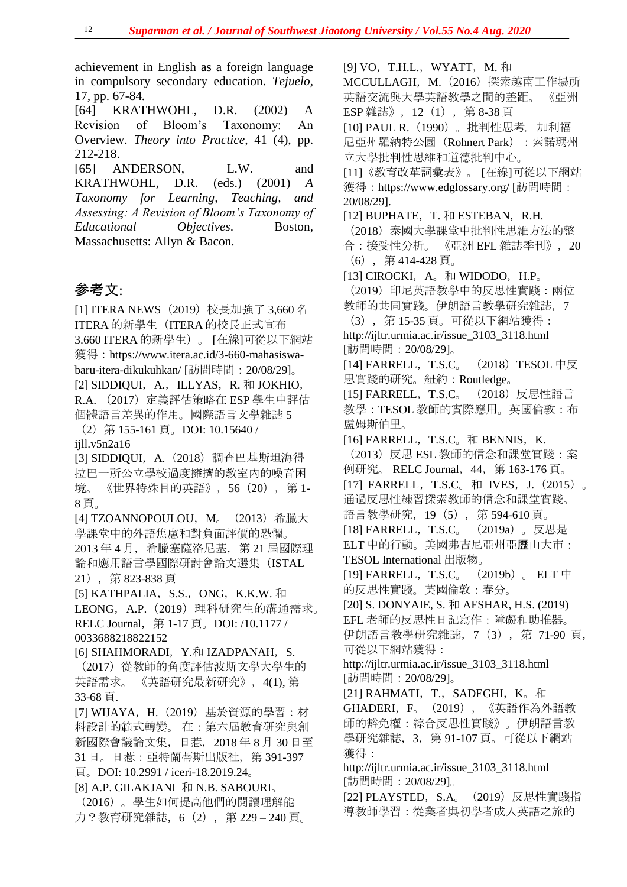achievement in English as a foreign language in compulsory secondary education. *Tejuelo,*  17, pp. 67-84*.*

[64] KRATHWOHL, D.R. (2002) A Revision of Bloom's Taxonomy: An Overview. *Theory into Practice,* 41 (4), pp. 212-218.

[65] ANDERSON, L.W. and KRATHWOHL, D.R. (eds.) (2001) *A Taxonomy for Learning, Teaching, and Assessing: A Revision of Bloom's Taxonomy of Educational Objectives*. Boston, Massachusetts: Allyn & Bacon.

# 参考文:

[1] ITERA NEWS (2019) 校長加強了 3,660 名 ITERA 的新學生(ITERA 的校長正式宣布 3.660 ITERA 的新學生)。 [在線]可從以下網站 獲得:https://www.itera.ac.id/3-660-mahasiswabaru-itera-dikukuhkan/ [訪問時間:20/08/29]。 [2] SIDDIQUI, A., ILLYAS, R. 和 JOKHIO, R.A. (2017) 定義評估策略在 ESP 學生中評估 個體語言差異的作用。國際語言文學雜誌 5 (2)第 155-161 頁。DOI: 10.15640 / ijll.v5n2a16 [3] SIDDIQUI,A.(2018)調查巴基斯坦海得 拉巴一所公立學校過度擁擠的教室內的噪音困 境。《世界特殊目的英語》, 56 (20), 第 1-8 頁。 [4] TZOANNOPOULOU,M。(2013)希臘大 學課堂中的外語焦慮和對負面評價的恐懼。 2013年4月,希臘塞薩洛尼基,第21屆國際理 論和應用語言學國際研討會論文選集(ISTAL 21),第 823-838 頁 [5] KATHPALIA, S.S., ONG, K.K.W.  $\bar{m}$ LEONG, A.P. (2019) 理科研究生的溝通需求。 RELC Journal,第 1-17 頁。DOI: /10.1177 / 0033688218822152 [6] SHAHMORADI, Y.和 IZADPANAH, S. (2017)從教師的角度評估波斯文學大學生的 英語需求。 《英語研究最新研究》,4(1), 第 33-68 頁. [7] WIJAYA,H.(2019)基於資源的學習:材 料設計的範式轉變。 在:第六屆教育研究與創 新國際會議論文集,日惹,2018 年 8 月 30 日至 31 日。日惹:亞特蘭蒂斯出版社,第 391-397 頁。DOI: 10.2991 / iceri-18.2019.24。 [8] A.P. GILAKJANI 和 N.B. SABOURI。 (2016)。學生如何提高他們的閱讀理解能

力?教育研究雜誌,6(2),第 229 – 240 頁。

[9] VO, T.H.L., WYATT, M. 和 MCCULLAGH, M. (2016) 探索越南工作場所 英語交流與大學英語教學之間的差距。 《亞洲 ESP 雜誌》, 12 (1), 第 8-38 頁 [10] PAUL R.(1990)。批判性思考。加利福 尼亞州羅納特公園 (Rohnert Park): 索諾瑪州 立大學批判性思維和道德批判中心。 [11]《教育改革詞彙表》。 [在線]可從以下網站 獲得:https://www.edglossary.org/ [訪問時間: 20/08/29]. [12] BUPHATE, T. 和 ESTEBAN, R.H. (2018)泰國大學課堂中批判性思維方法的整 合:接受性分析。 《亞洲 EFL 雜誌季刊》,20 (6),第 414-428 頁。 [13] CIROCKI,  $A_0$  和 WIDODO, H.P. (2019)印尼英語教學中的反思性實踐:兩位 教師的共同實踐。伊朗語言教學研究雜誌,7 (3),第 15-35 頁。可從以下網站獲得: http://ijltr.urmia.ac.ir/issue\_3103\_3118.html [訪問時間:20/08/29]。 [14] FARRELL, T.S.C.  $(2018)$  TESOL 中反 思實踐的研究。紐約:Routledge。 [15] FARRELL, T.S.C. (2018) 反思性語言 教學:TESOL 教師的實際應用。英國倫敦:布 盧姆斯伯里。 [16] FARRELL, T.S.C.  $\bar{\pi}$  BENNIS, K. (2013)反思 ESL 教師的信念和課堂實踐:案 例研究。 RELC Journal,44,第 163-176 頁。 [17] FARRELL, T.S.C。和 IVES, J. (2015)。 通過反思性練習探索教師的信念和課堂實踐。 語言教學研究,19(5),第 594-610 頁。 [18] FARRELL,T.S.C。 (2019a)。反思是 ELT 中的行動。美國弗吉尼亞州亞歷山大市: TESOL International 出版物。 [19] FARRELL, T.S.C.  $(2019b)$  ELT  $\uparrow$ 的反思性實踐。英國倫敦:春分。 [20] S. DONYAIE, S. 和 AFSHAR, H.S. (2019) EFL 老師的反思性日記寫作:障礙和助推器。 伊朗語言教學研究雜誌,7(3),第 71-90 頁, 可從以下網站獲得: http://ijltr.urmia.ac.ir/issue\_3103\_3118.html [訪問時間:20/08/29]。 [21] RAHMATI, T., SADEGHI, K<sub>o</sub> 和 GHADERI,F。(2019),《英語作為外語教 師的豁免權:綜合反思性實踐》。伊朗語言教 學研究雜誌,3,第 91-107 頁。可從以下網站 獲得: http://ijltr.urmia.ac.ir/issue\_3103\_3118.html [訪問時間:20/08/29]。 [22] PLAYSTED, S.A。 (2019) 反思性實踐指 導教師學習:從業者與初學者成人英語之旅的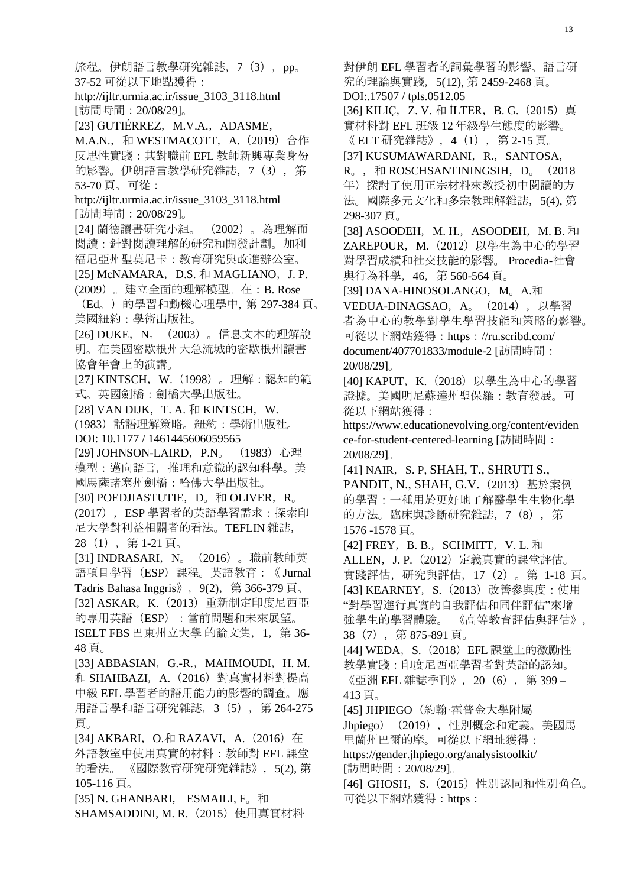旅程。伊朗語言教學研究雜誌,7(3),pp。 37-52 可從以下地點獲得: http://ijltr.urmia.ac.ir/issue\_3103\_3118.html [訪問時間:20/08/29]。 [23] GUTIÉRREZ, M.V.A., ADASME, M.A.N., 和 WESTMACOTT, A. (2019) 合作 反思性實踐:其對職前 EFL 教師新興專業身份 的影響。伊朗語言教學研究雜誌,7(3),第 53-70 頁。可從: http://ijltr.urmia.ac.ir/issue\_3103\_3118.html [訪問時間:20/08/29]。 [24] 蘭德讀書研究小組。 (2002)。為理解而 閱讀:針對閱讀理解的研究和開發計劃。加利 福尼亞州聖莫尼卡:教育研究與改進辦公室。 [25] McNAMARA, D.S. 和 MAGLIANO, J. P. (2009)。建立全面的理解模型。在:B. Rose (Ed。)的學習和動機心理學中, 第 297-384 頁。 美國紐約:學術出版社。 [26] DUKE,N。(2003)。信息文本的理解說 明。在美國密歇根州大急流城的密歇根州讀書 協會年會上的演講。 [27] KINTSCH,W.(1998)。理解:認知的範 式。英國劍橋:劍橋大學出版社。 [28] VAN DIJK, T. A.  $\bar{m}$  KINTSCH, W. (1983)話語理解策略。紐約:學術出版社。 DOI: 10.1177 / 1461445606059565 [29] JOHNSON-LAIRD, P.N。 (1983) 心理 模型:邁向語言,推理和意識的認知科學。美 國馬薩諸塞州劍橋:哈佛大學出版社。 [30] POEDJIASTUTIE,  $D_{\circ}$  和 OLIVER,  $R_{\circ}$ (2017),ESP 學習者的英語學習需求:探索印 尼大學對利益相關者的看法。TEFLIN 雜誌, 28(1),第 1-21 頁。 [31] INDRASARI,N。(2016)。職前教師英 語項目學習(ESP)課程。英語教育:《 Jurnal Tadris Bahasa Inggris》, 9(2), 第 366-379 頁。 [32] ASKAR, K. (2013) 重新制定印度尼西亞 的專用英語(ESP):當前問題和未來展望。 ISELT FBS 巴東州立大學 的論文集,1,第 36- 48 頁。 [33] ABBASIAN, G.-R., MAHMOUDI, H.M. 和 SHAHBAZI,A.(2016)對真實材料對提高 中級 EFL 學習者的語用能力的影響的調查。應 用語言學和語言研究雜誌,3(5),第 264-275 頁。 [34] AKBARI, O.和 RAZAVI, A.  $(2016)$  在 外語教室中使用真實的材料:教師對 EFL 課堂 的看法。《國際教育研究研究雜誌》, 5(2), 第 105-116 頁。 [35] N. GHANBARI, ESMAILI, F。和

SHAMSADDINI, M. R. (2015) 使用真實材料

對伊朗 EFL 學習者的詞彙學習的影響。語言研 究的理論與實踐,5(12), 第 2459-2468 頁。 DOI:.17507 / tpls.0512.05 [36] KILIÇ, Z. V. 和 İLTER, B. G. (2015) 真 實材料對 EFL 班級 12 年級學生態度的影響。 《 ELT 研究雜誌》,4(1),第 2-15 頁。 [37] KUSUMAWARDANI, R., SANTOSA,  $R_0$ ,  $\overline{p}$  ROSCHSANTININGSIH,  $D_0$  (2018) 年)探討了使用正宗材料來教授初中閱讀的方 法。國際多元文化和多宗教理解雜誌,5(4), 第 298-307 頁。 [38] ASOODEH, M. H., ASOODEH, M. B. 和 ZAREPOUR,M.(2012)以學生為中心的學習 對學習成績和社交技能的影響。 Procedia-社會 與行為科學,46,第 560-564 頁。 [39] DANA-HINOSOLANGO, M<sub>o</sub> A.和 VEDUA-DINAGSAO, A. (2014), 以學習 者為中心的教學對學生學習技能和策略的影響。 可從以下網站獲得:https://ru.scribd.com/ document/407701833/module-2 [訪問時間: 20/08/29]。 [40] KAPUT, K. (2018) 以學生為中心的學習 證據。美國明尼蘇達州聖保羅:教育發展。可 從以下網站獲得: https://www.educationevolving.org/content/eviden ce-for-student-centered-learning [訪問時間: 20/08/29]。 [41] NAIR, S. P, SHAH, T., SHRUTI S., PANDIT, N., SHAH, G.V. (2013) 基於案例 的學習:一種用於更好地了解醫學生生物化學 的方法。臨床與診斷研究雜誌,7(8),第 1576 -1578 頁。 [42] FREY, B. B., SCHMITT, V. L. 和 ALLEN, J. P. (2012) 定義真實的課堂評估。 實踐評估,研究與評估,17(2)。第 1-18 頁。 [43] KEARNEY, S. (2013)改善參與度:使用 "對學習進行真實的自我評估和同伴評估"來增 強學生的學習體驗。 《高等教育評估與評估》, 38(7),第 875-891 頁。 [44] WEDA, S. (2018) EFL 課堂上的激勵性 教學實踐:印度尼西亞學習者對英語的認知。 《亞洲 EFL 雜誌季刊》, 20 (6), 第 399 – 413 頁。 [45] JHPIEGO (約翰·霍普金大學附屬 Jhpiego) (2019), 性別概念和定義。美國馬 里蘭州巴爾的摩。可從以下網址獲得: https://gender.jhpiego.org/analysistoolkit/ [訪問時間:20/08/29]。 [46] GHOSH, S. (2015) 性別認同和性別角色。 可從以下網站獲得:https: